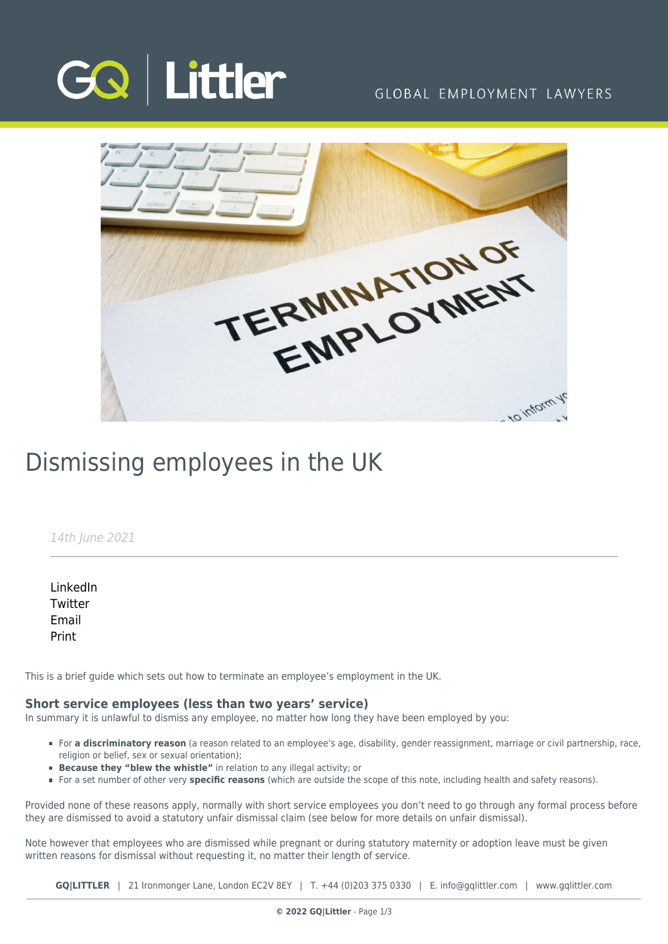

### GLOBAL EMPLOYMENT LAWYERS



# Dismissing employees in the UK

#### 14th June 2021

[LinkedIn](https://www.linkedin.com/shareArticle?mini=true&url=https%3A%2F%2Fwww.gqlittler.com%2Fresources%2Fnews-and-views%2Fdismissing-employees-in-the-uk.htm%3Funlock%3Dtrue&title=Dismissing+employees+in+the+UK&summary=A+brief+guide+on+how+to+terminate+an+employee%E2%80%99s+employment+in+the+UK.&source=GQ+%7C+Littler) **[Twitter](https://twitter.com/share?text=Dismissing+employees+in+the+UK&url=https%3A%2F%2Fwww.gqlittler.com%2Fresources%2Fnews-and-views%2Fdismissing-employees-in-the-uk.htm&hashtags=)** [Email](mailto:?subject=Dismissing employees in the UK&body=I) [Print](https://www.bg-pdf.co.uk/_GQ/page.php?M=6148523063484d364c793933643363755a33467361585230624756794c6d4e76625339795a584e7664584a6a5a584d76626d563363793168626d5174646d6c6c64334d765a476c7a62576c7a63326c755a79316c6258427362336c6c5a584d74615734746447686c4c5856724c6d683062534e41493052706332317063334e70626d63675a573177624739355a57567a49476c754948526f5a53425653794e41493252706332317063334e70626d63745a573177624739355a57567a4c576c754c58526f5a53313161773d3d)

This is a brief guide which sets out how to terminate an employee's employment in the UK.

#### **Short service employees (less than two years' service)**

In summary it is unlawful to dismiss any employee, no matter how long they have been employed by you:

- For **a discriminatory reason** (a reason related to an employee's age, disability, gender reassignment, marriage or civil partnership, race, religion or belief, sex or sexual orientation);
- **Because they "blew the whistle"** in relation to any illegal activity; or
- For a set number of other very **specific reasons** (which are outside the scope of this note, including health and safety reasons).

Provided none of these reasons apply, normally with short service employees you don't need to go through any formal process before they are dismissed to avoid a statutory unfair dismissal claim (see below for more details on unfair dismissal).

Note however that employees who are dismissed while pregnant or during statutory maternity or adoption leave must be given written reasons for dismissal without requesting it, no matter their length of service.

**GQ|LITTLER** | 21 Ironmonger Lane, London EC2V 8EY | T. [+44 \(0\)203 375 0330](https://www.bg-pdf.co.uk/_GQ/tel:+442033750330) | E. [info@gqlittler.com](mailto:info@gqlittler.com) | [www.gqlittler.com](https://www.gqlittler.com)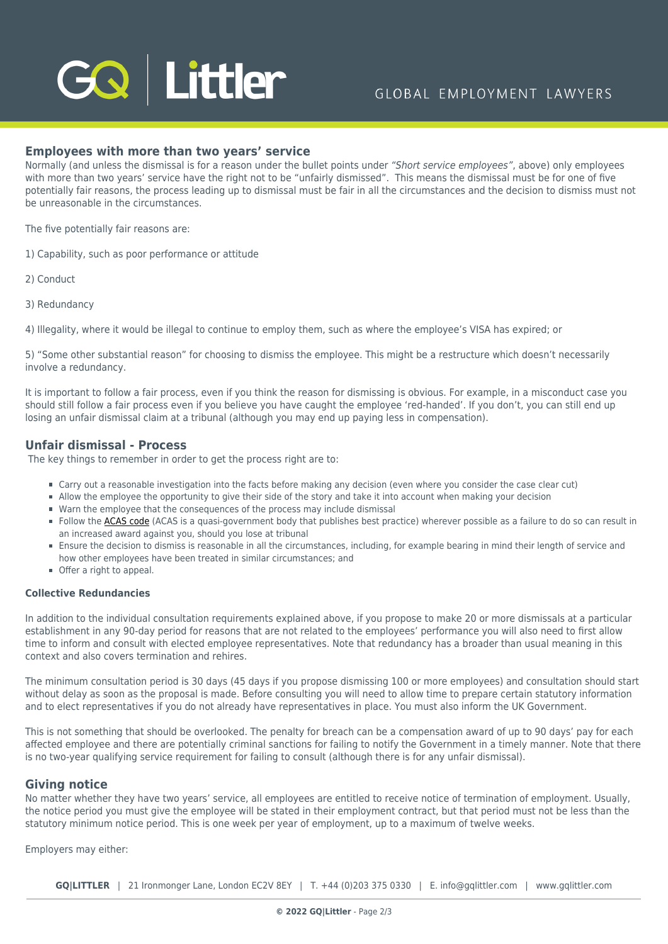# GQ Littler

#### **Employees with more than two years' service**

Normally (and unless the dismissal is for a reason under the bullet points under "Short service employees", above) only employees with more than two years' service have the right not to be "unfairly dismissed". This means the dismissal must be for one of five potentially fair reasons, the process leading up to dismissal must be fair in all the circumstances and the decision to dismiss must not be unreasonable in the circumstances.

The five potentially fair reasons are:

- 1) Capability, such as poor performance or attitude
- 2) Conduct
- 3) Redundancy

4) Illegality, where it would be illegal to continue to employ them, such as where the employee's VISA has expired; or

5) "Some other substantial reason" for choosing to dismiss the employee. This might be a restructure which doesn't necessarily involve a redundancy.

It is important to follow a fair process, even if you think the reason for dismissing is obvious. For example, in a misconduct case you should still follow a fair process even if you believe you have caught the employee 'red-handed'. If you don't, you can still end up losing an unfair dismissal claim at a tribunal (although you may end up paying less in compensation).

#### **Unfair dismissal - Process**

The key things to remember in order to get the process right are to:

- Carry out a reasonable investigation into the facts before making any decision (even where you consider the case clear cut)
- Allow the employee the opportunity to give their side of the story and take it into account when making your decision
- Warn the employee that the consequences of the process may include dismissal
- Follow the [ACAS code](https://www.acas.org.uk/acas-code-of-practice-on-disciplinary-and-grievance-procedures) (ACAS is a quasi-government body that publishes best practice) wherever possible as a failure to do so can result in an increased award against you, should you lose at tribunal
- Ensure the decision to dismiss is reasonable in all the circumstances, including, for example bearing in mind their length of service and how other employees have been treated in similar circumstances; and
- Offer a right to appeal.

#### **Collective Redundancies**

In addition to the individual consultation requirements explained above, if you propose to make 20 or more dismissals at a particular establishment in any 90-day period for reasons that are not related to the employees' performance you will also need to first allow time to inform and consult with elected employee representatives. Note that redundancy has a broader than usual meaning in this context and also covers termination and rehires.

The minimum consultation period is 30 days (45 days if you propose dismissing 100 or more employees) and consultation should start without delay as soon as the proposal is made. Before consulting you will need to allow time to prepare certain statutory information and to elect representatives if you do not already have representatives in place. You must also inform the UK Government.

This is not something that should be overlooked. The penalty for breach can be a compensation award of up to 90 days' pay for each affected employee and there are potentially criminal sanctions for failing to notify the Government in a timely manner. Note that there is no two-year qualifying service requirement for failing to consult (although there is for any unfair dismissal).

#### **Giving notice**

No matter whether they have two years' service, all employees are entitled to receive notice of termination of employment. Usually, the notice period you must give the employee will be stated in their employment contract, but that period must not be less than the statutory minimum notice period. This is one week per year of employment, up to a maximum of twelve weeks.

Employers may either:

**GQ|LITTLER** | 21 Ironmonger Lane, London EC2V 8EY | T. [+44 \(0\)203 375 0330](https://www.bg-pdf.co.uk/_GQ/tel:+442033750330) | E. [info@gqlittler.com](mailto:info@gqlittler.com) | [www.gqlittler.com](https://www.gqlittler.com)